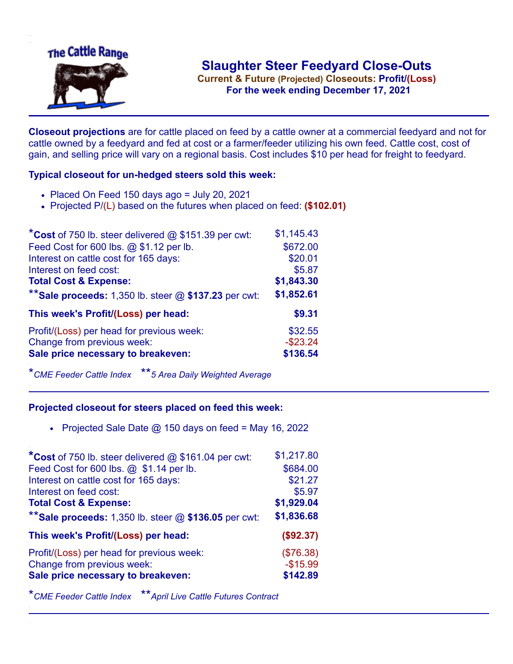

**Current & Future (Projected) Closeouts: Profit/(Loss)** .**For the week ending December 17, 2021**

**Closeout projections** are for cattle placed on feed by a cattle owner at a commercial feedyard and not for cattle owned by a feedyard and fed at cost or a farmer/feeder utilizing his own feed. Cattle cost, cost of gain, and selling price will vary on a regional basis. Cost includes \$10 per head for freight to feedyard.

## **Typical closeout for un-hedged steers sold this week:**

- $\bullet$  Placed On Feed 150 days ago = July 20, 2021
- Projected P/(L) based on the futures when placed on feed: **(\$102.01)**

| *Cost of 750 lb. steer delivered @ \$151.39 per cwt:    | \$1,145.43  |
|---------------------------------------------------------|-------------|
| Feed Cost for 600 lbs. @ \$1.12 per lb.                 | \$672.00    |
| Interest on cattle cost for 165 days:                   | \$20.01     |
| Interest on feed cost:                                  | \$5.87      |
| <b>Total Cost &amp; Expense:</b>                        | \$1,843.30  |
| ** Sale proceeds: 1,350 lb. steer $@$ \$137.23 per cwt: | \$1,852.61  |
| This week's Profit/(Loss) per head:                     | \$9.31      |
| Profit/(Loss) per head for previous week:               | \$32.55     |
| Change from previous week:                              | $-$ \$23.24 |
| Sale price necessary to breakeven:                      | \$136.54    |

\**CME Feeder Cattle Index* \*\**5 Area Daily Weighted Average*

## **Projected closeout for steers placed on feed this week:**

• Projected Sale Date  $@$  150 days on feed = May 16, 2022

| *Cost of 750 lb. steer delivered @ \$161.04 per cwt:    | \$1,217.80 |
|---------------------------------------------------------|------------|
| Feed Cost for 600 lbs. @ \$1.14 per lb.                 | \$684.00   |
| Interest on cattle cost for 165 days:                   | \$21.27    |
| Interest on feed cost:                                  | \$5.97     |
| <b>Total Cost &amp; Expense:</b>                        | \$1,929.04 |
| ** Sale proceeds: 1,350 lb. steer $@$ \$136.05 per cwt: | \$1,836.68 |
| This week's Profit/(Loss) per head:                     | (\$92.37)  |
| Profit/(Loss) per head for previous week:               | (\$76.38)  |
| Change from previous week:                              | $-$15.99$  |
| Sale price necessary to breakeven:                      | \$142.89   |
|                                                         |            |

\**CME Feeder Cattle Index* \*\**April Live Cattle Futures Contract*